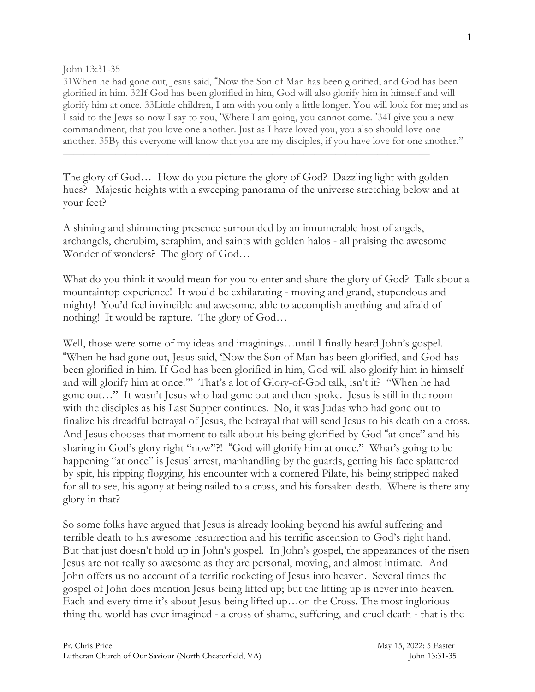John 13:31-35

31When he had gone out, Jesus said, "Now the Son of Man has been glorified, and God has been glorified in him. 32If God has been glorified in him, God will also glorify him in himself and will glorify him at once. 33Little children, I am with you only a little longer. You will look for me; and as I said to the Jews so now I say to you, 'Where I am going, you cannot come. '34I give you a new commandment, that you love one another. Just as I have loved you, you also should love one another. 35By this everyone will know that you are my disciples, if you have love for one another."

The glory of God… How do you picture the glory of God? Dazzling light with golden hues? Majestic heights with a sweeping panorama of the universe stretching below and at your feet?

 $\frac{1}{\sqrt{2}}$  , and the contract of the contract of the contract of the contract of the contract of the contract of the contract of the contract of the contract of the contract of the contract of the contract of the contra

A shining and shimmering presence surrounded by an innumerable host of angels, archangels, cherubim, seraphim, and saints with golden halos - all praising the awesome Wonder of wonders? The glory of God…

What do you think it would mean for you to enter and share the glory of God? Talk about a mountaintop experience! It would be exhilarating - moving and grand, stupendous and mighty! You'd feel invincible and awesome, able to accomplish anything and afraid of nothing! It would be rapture. The glory of God…

Well, those were some of my ideas and imaginings…until I finally heard John's gospel. "When he had gone out, Jesus said, 'Now the Son of Man has been glorified, and God has been glorified in him. If God has been glorified in him, God will also glorify him in himself and will glorify him at once.'" That's a lot of Glory-of-God talk, isn't it? "When he had gone out…" It wasn't Jesus who had gone out and then spoke. Jesus is still in the room with the disciples as his Last Supper continues. No, it was Judas who had gone out to finalize his dreadful betrayal of Jesus, the betrayal that will send Jesus to his death on a cross. And Jesus chooses that moment to talk about his being glorified by God "at once" and his sharing in God's glory right "now"?! "God will glorify him at once." What's going to be happening "at once" is Jesus' arrest, manhandling by the guards, getting his face splattered by spit, his ripping flogging, his encounter with a cornered Pilate, his being stripped naked for all to see, his agony at being nailed to a cross, and his forsaken death. Where is there any glory in that?

So some folks have argued that Jesus is already looking beyond his awful suffering and terrible death to his awesome resurrection and his terrific ascension to God's right hand. But that just doesn't hold up in John's gospel. In John's gospel, the appearances of the risen Jesus are not really so awesome as they are personal, moving, and almost intimate. And John offers us no account of a terrific rocketing of Jesus into heaven. Several times the gospel of John does mention Jesus being lifted up; but the lifting up is never into heaven. Each and every time it's about Jesus being lifted up…on the Cross. The most inglorious thing the world has ever imagined - a cross of shame, suffering, and cruel death - that is the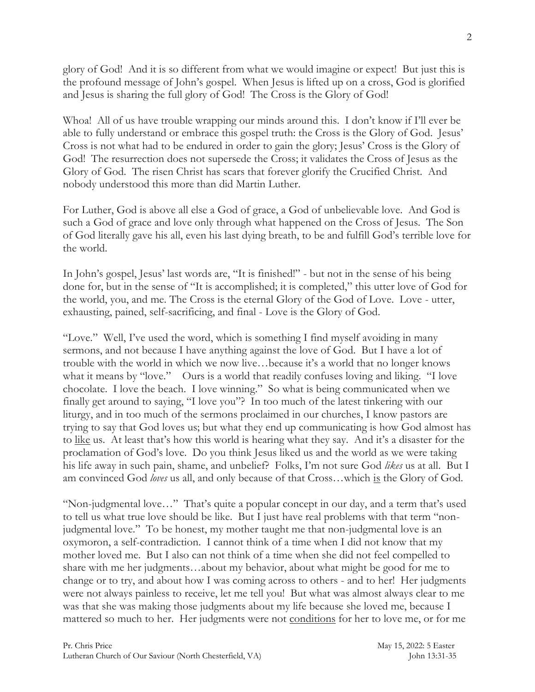glory of God! And it is so different from what we would imagine or expect! But just this is the profound message of John's gospel. When Jesus is lifted up on a cross, God is glorified and Jesus is sharing the full glory of God! The Cross is the Glory of God!

Whoa! All of us have trouble wrapping our minds around this. I don't know if I'll ever be able to fully understand or embrace this gospel truth: the Cross is the Glory of God. Jesus' Cross is not what had to be endured in order to gain the glory; Jesus' Cross is the Glory of God! The resurrection does not supersede the Cross; it validates the Cross of Jesus as the Glory of God. The risen Christ has scars that forever glorify the Crucified Christ. And nobody understood this more than did Martin Luther.

For Luther, God is above all else a God of grace, a God of unbelievable love. And God is such a God of grace and love only through what happened on the Cross of Jesus. The Son of God literally gave his all, even his last dying breath, to be and fulfill God's terrible love for the world.

In John's gospel, Jesus' last words are, "It is finished!" - but not in the sense of his being done for, but in the sense of "It is accomplished; it is completed," this utter love of God for the world, you, and me. The Cross is the eternal Glory of the God of Love. Love - utter, exhausting, pained, self-sacrificing, and final - Love is the Glory of God.

"Love." Well, I've used the word, which is something I find myself avoiding in many sermons, and not because I have anything against the love of God. But I have a lot of trouble with the world in which we now live…because it's a world that no longer knows what it means by "love." Ours is a world that readily confuses loving and liking. "I love chocolate. I love the beach. I love winning." So what is being communicated when we finally get around to saying, "I love you"? In too much of the latest tinkering with our liturgy, and in too much of the sermons proclaimed in our churches, I know pastors are trying to say that God loves us; but what they end up communicating is how God almost has to like us. At least that's how this world is hearing what they say. And it's a disaster for the proclamation of God's love. Do you think Jesus liked us and the world as we were taking his life away in such pain, shame, and unbelief? Folks, I'm not sure God *likes* us at all. But I am convinced God *loves* us all, and only because of that Cross…which is the Glory of God.

"Non-judgmental love…" That's quite a popular concept in our day, and a term that's used to tell us what true love should be like. But I just have real problems with that term "nonjudgmental love." To be honest, my mother taught me that non-judgmental love is an oxymoron, a self-contradiction. I cannot think of a time when I did not know that my mother loved me. But I also can not think of a time when she did not feel compelled to share with me her judgments…about my behavior, about what might be good for me to change or to try, and about how I was coming across to others - and to her! Her judgments were not always painless to receive, let me tell you! But what was almost always clear to me was that she was making those judgments about my life because she loved me, because I mattered so much to her. Her judgments were not conditions for her to love me, or for me